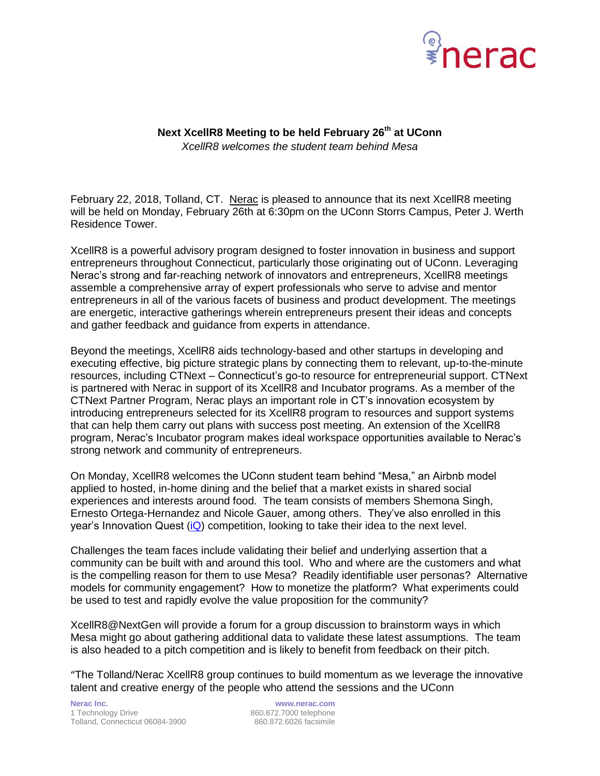

## **Next XcellR8 Meeting to be held February 26th at UConn** *XcellR8 welcomes the student team behind Mesa*

February 22, 2018, Tolland, CT. [Nerac](http://www.nerac.com/) is pleased to announce that its next XcellR8 meeting will be held on Monday, February 26th at 6:30pm on the UConn Storrs Campus, Peter J. Werth Residence Tower.

XcellR8 is a powerful advisory program designed to foster innovation in business and support entrepreneurs throughout Connecticut, particularly those originating out of UConn. Leveraging Nerac's strong and far-reaching network of innovators and entrepreneurs, XcellR8 meetings assemble a comprehensive array of expert professionals who serve to advise and mentor entrepreneurs in all of the various facets of business and product development. The meetings are energetic, interactive gatherings wherein entrepreneurs present their ideas and concepts and gather feedback and guidance from experts in attendance.

Beyond the meetings, XcellR8 aids technology-based and other startups in developing and executing effective, big picture strategic plans by connecting them to relevant, up-to-the-minute resources, including CTNext – Connecticut's go-to resource for entrepreneurial support. CTNext is partnered with Nerac in support of its XcellR8 and Incubator programs. As a member of the CTNext Partner Program, Nerac plays an important role in CT's innovation ecosystem by introducing entrepreneurs selected for its XcellR8 program to resources and support systems that can help them carry out plans with success post meeting. An extension of the XcellR8 program, Nerac's Incubator program makes ideal workspace opportunities available to Nerac's strong network and community of entrepreneurs.

On Monday, XcellR8 welcomes the UConn student team behind "Mesa," an Airbnb model applied to hosted, in-home dining and the belief that a market exists in shared social experiences and interests around food. The team consists of members Shemona Singh, Ernesto Ortega-Hernandez and Nicole Gauer, among others. They've also enrolled in this year's Innovation Quest [\(iQ\)](https://www.business.uconn.edu/2018/02/16/uconn-iq-kickoff-unprecedented-entrepreneur-entries/) competition, looking to take their idea to the next level.

Challenges the team faces include validating their belief and underlying assertion that a community can be built with and around this tool. Who and where are the customers and what is the compelling reason for them to use Mesa? Readily identifiable user personas? Alternative models for community engagement? How to monetize the platform? What experiments could be used to test and rapidly evolve the value proposition for the community?

XcellR8@NextGen will provide a forum for a group discussion to brainstorm ways in which Mesa might go about gathering additional data to validate these latest assumptions. The team is also headed to a pitch competition and is likely to benefit from feedback on their pitch.

"The Tolland/Nerac XcellR8 group continues to build momentum as we leverage the innovative talent and creative energy of the people who attend the sessions and the UConn

**Nerac Inc. www.nerac.com** 1 Technology Drive 860.872.7000 telephone Tolland, Connecticut 06084-3900 860.872.6026 facsimile